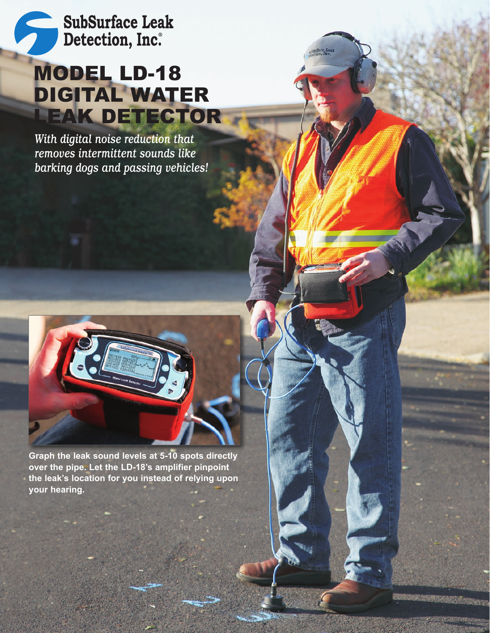**SubSurface Leak** Detection, Inc.

# MODEL LD-18 DIGITAL WATER LEAK DETECTOR

*With digital noise reduction that removes intermittent sounds like barking dogs and passing vehicles!*



**Graph the leak sound levels at 5-10 spots directly over the pipe. Let the LD-18's amplifier pinpoint the leak's location for you instead of relying upon your hearing.**